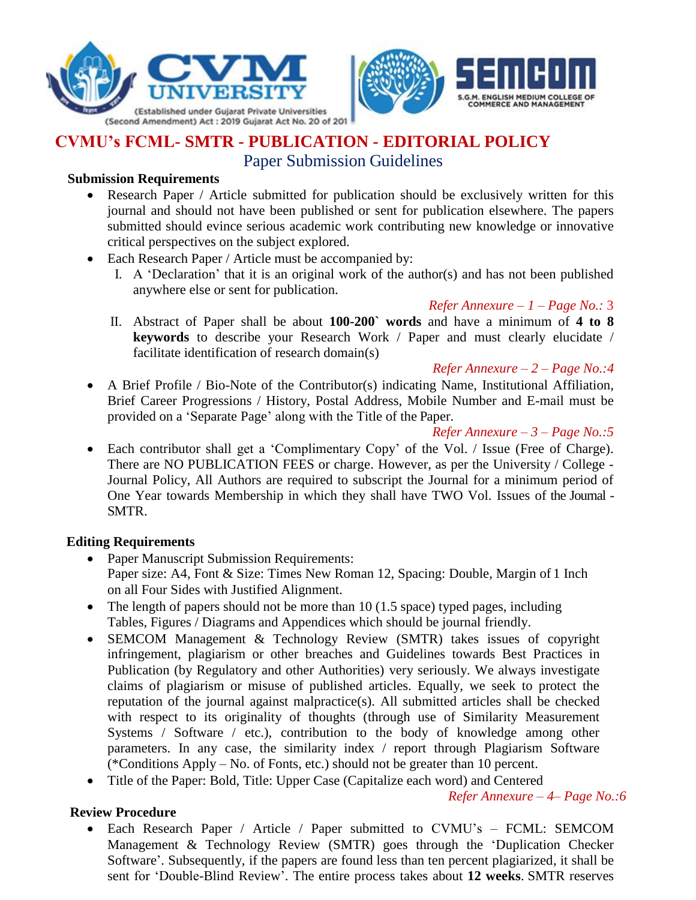



# **CVMU's FCML- SMTR - PUBLICATION - EDITORIAL POLICY**

Paper Submission Guidelines

## **Submission Requirements**

- Research Paper / Article submitted for publication should be exclusively written for this journal and should not have been published or sent for publication elsewhere. The papers submitted should evince serious academic work contributing new knowledge or innovative critical perspectives on the subject explored.
- Each Research Paper / Article must be accompanied by:
	- I. A 'Declaration' that it is an original work of the author(s) and has not been published anywhere else or sent for publication.

*Refer Annexure – 1 – Page No.:* 3

- II. Abstract of Paper shall be about **100-200` words** and have a minimum of **4 to 8 keywords** to describe your Research Work / Paper and must clearly elucidate / facilitate identification of research domain(s)
- *Refer Annexure – 2 – Page No.:4* A Brief Profile / Bio-Note of the Contributor(s) indicating Name, Institutional Affiliation, Brief Career Progressions / History, Postal Address, Mobile Number and E-mail must be provided on a 'Separate Page' along with the Title of the Paper.

*Refer Annexure – 3 – Page No.:5*

 Each contributor shall get a 'Complimentary Copy' of the Vol. / Issue (Free of Charge). There are NO PUBLICATION FEES or charge. However, as per the University / College - Journal Policy, All Authors are required to subscript the Journal for a minimum period of One Year towards Membership in which they shall have TWO Vol. Issues of the Journal - SMTR.

## **Editing Requirements**

- Paper Manuscript Submission Requirements: Paper size: A4, Font & Size: Times New Roman 12, Spacing: Double, Margin of 1 Inch on all Four Sides with Justified Alignment.
- The length of papers should not be more than  $10$  (1.5 space) typed pages, including Tables, Figures / Diagrams and Appendices which should be journal friendly.
- SEMCOM Management & Technology Review (SMTR) takes issues of copyright infringement, plagiarism or other breaches and Guidelines towards Best Practices in Publication (by Regulatory and other Authorities) very seriously. We always investigate claims of plagiarism or misuse of published articles. Equally, we seek to protect the reputation of the journal against malpractice(s). All submitted articles shall be checked with respect to its originality of thoughts (through use of Similarity Measurement Systems / Software / etc.), contribution to the body of knowledge among other parameters. In any case, the similarity index / report through Plagiarism Software (\*Conditions Apply – No. of Fonts, etc.) should not be greater than 10 percent.
- Title of the Paper: Bold, Title: Upper Case (Capitalize each word) and Centered

*Refer Annexure – 4– Page No.:6*

## **Review Procedure**

 Each Research Paper / Article / Paper submitted to CVMU's – FCML: SEMCOM Management & Technology Review (SMTR) goes through the 'Duplication Checker Software'. Subsequently, if the papers are found less than ten percent plagiarized, it shall be sent for 'Double-Blind Review'. The entire process takes about **12 weeks**. SMTR reserves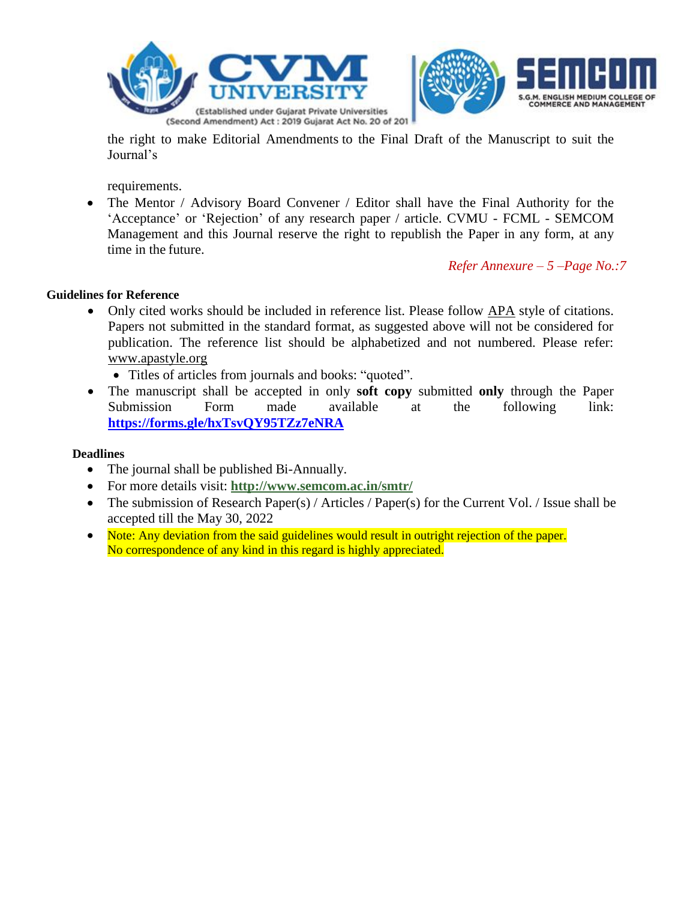

the right to make Editorial Amendments to the Final Draft of the Manuscript to suit the Journal's

requirements.

• The Mentor / Advisory Board Convener / Editor shall have the Final Authority for the 'Acceptance' or 'Rejection' of any research paper / article. CVMU - FCML - SEMCOM Management and this Journal reserve the right to republish the Paper in any form, at any time in the future.

*Refer Annexure – 5 –Page No.:7*

### **Guidelines for Reference**

 Only cited works should be included in reference list. Please follow [APA](http://www.apastyle.org/) style of citations. Papers not submitted in the standard format, as suggested above will not be considered for publication. The reference list should be alphabetized and not numbered. Please refer: [www.apastyle.org](http://www.apastyle.org/)

Titles of articles from journals and books: "quoted".

 The manuscript shall be accepted in only **soft copy** submitted **only** through the Paper Submission Form made available at the following link: **<https://forms.gle/hxTsvQY95TZz7eNRA>**

### **Deadlines**

- The journal shall be published Bi-Annually.
- For more details visit: **<http://www.semcom.ac.in/smtr/>**
- The submission of Research Paper(s) / Articles / Paper(s) for the Current Vol. / Issue shall be accepted till the May 30, 2022
- Note: Any deviation from the said guidelines would result in outright rejection of the paper. No correspondence of any kind in this regard is highly appreciated.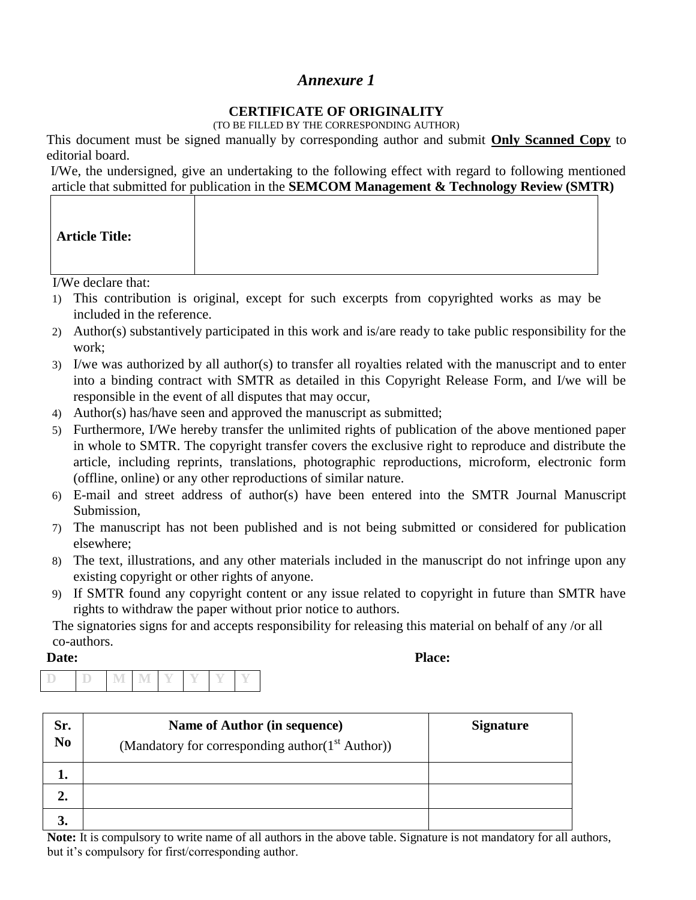## **CERTIFICATE OF ORIGINALITY**

(TO BE FILLED BY THE CORRESPONDING AUTHOR)

This document must be signed manually by corresponding author and submit **Only Scanned Copy** to editorial board.

I/We, the undersigned, give an undertaking to the following effect with regard to following mentioned article that submitted for publication in the **SEMCOM Management & Technology Review (SMTR)**

| <b>Article Title:</b> |  |  |
|-----------------------|--|--|
|-----------------------|--|--|

I/We declare that:

- 1) This contribution is original, except for such excerpts from copyrighted works as may be included in the reference.
- 2) Author(s) substantively participated in this work and is/are ready to take public responsibility for the work;
- 3) I/we was authorized by all author(s) to transfer all royalties related with the manuscript and to enter into a binding contract with SMTR as detailed in this Copyright Release Form, and I/we will be responsible in the event of all disputes that may occur,
- 4) Author(s) has/have seen and approved the manuscript as submitted;
- 5) Furthermore, I/We hereby transfer the unlimited rights of publication of the above mentioned paper in whole to SMTR. The copyright transfer covers the exclusive right to reproduce and distribute the article, including reprints, translations, photographic reproductions, microform, electronic form (offline, online) or any other reproductions of similar nature.
- 6) E-mail and street address of author(s) have been entered into the SMTR Journal Manuscript Submission,
- 7) The manuscript has not been published and is not being submitted or considered for publication elsewhere;
- 8) The text, illustrations, and any other materials included in the manuscript do not infringe upon any existing copyright or other rights of anyone.
- 9) If SMTR found any copyright content or any issue related to copyright in future than SMTR have rights to withdraw the paper without prior notice to authors.

The signatories signs for and accepts responsibility for releasing this material on behalf of any /or all co-authors.

Date: Place:

|  |  | an ex- |  |  |
|--|--|--------|--|--|
|  |  |        |  |  |
|  |  |        |  |  |
|  |  |        |  |  |

| Sr.<br>No | Name of Author (in sequence)<br>(Mandatory for corresponding author(1 <sup>st</sup> Author)) | <b>Signature</b> |
|-----------|----------------------------------------------------------------------------------------------|------------------|
| ı.        |                                                                                              |                  |
| 2.        |                                                                                              |                  |
|           |                                                                                              |                  |

**Note:** It is compulsory to write name of all authors in the above table. Signature is not mandatory for all authors, but it's compulsory for first/corresponding author.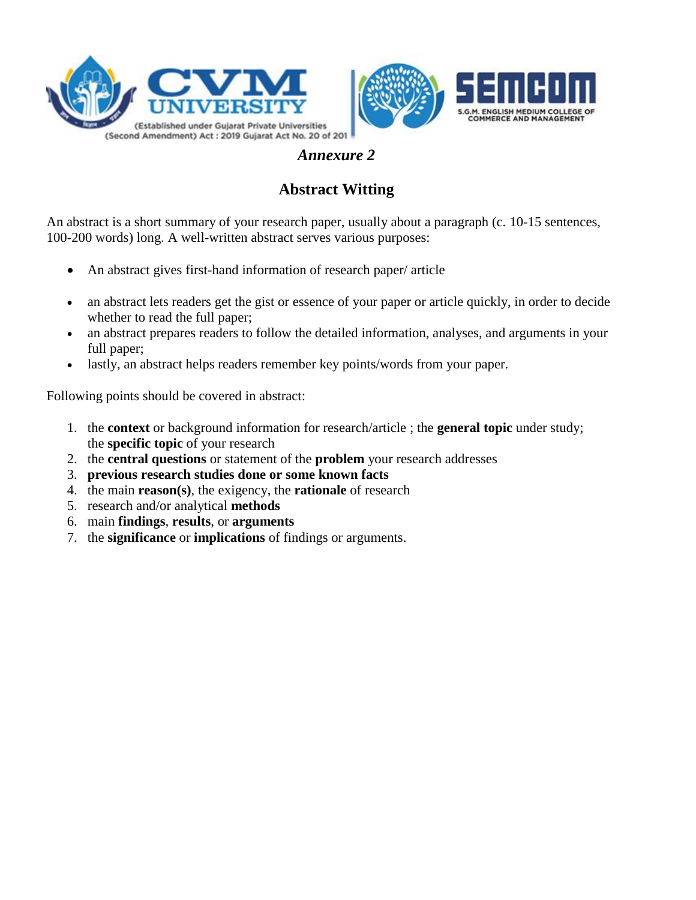





# **Abstract Witting**

An abstract is a short summary of your research paper, usually about a paragraph (c. 10-15 sentences, 100-200 words) long. A well-written abstract serves various purposes:

- An abstract gives first-hand information of research paper/ article
- an abstract lets readers get the gist or essence of your paper or article quickly, in order to decide whether to read the full paper;
- an abstract prepares readers to follow the detailed information, analyses, and arguments in your full paper;
- lastly, an abstract helps readers remember key points/words from your paper.

Following points should be covered in abstract:

- 1. the **context** or background information for research/article ; the **general topic** under study; the **specific topic** of your research
- 2. the **central questions** or statement of the **problem** your research addresses
- 3. **previous research studies done or some known facts**
- 4. the main **reason(s)**, the exigency, the **rationale** of research
- 5. research and/or analytical **methods**
- 6. main **findings**, **results**, or **arguments**
- 7. the **significance** or **implications** of findings or arguments.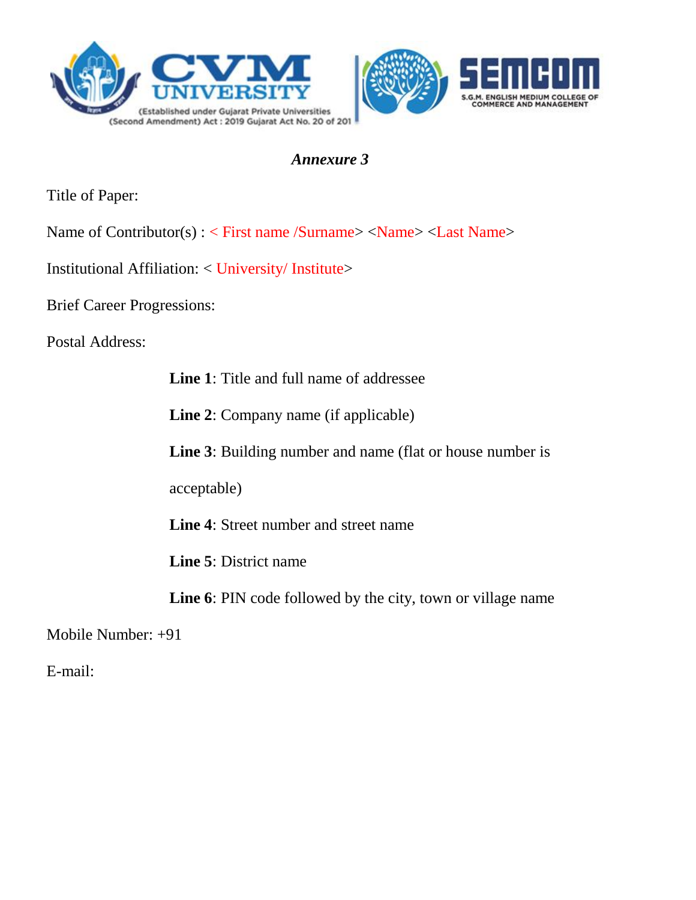



Title of Paper:

- Name of Contributor(s) : < First name /Surname> <Name> <Last Name>
- Institutional Affiliation: < University/ Institute>
- Brief Career Progressions:

Postal Address:

**Line 1**: Title and full name of addressee

**Line 2**: Company name (if applicable)

**Line 3**: Building number and name (flat or house number is

acceptable)

**Line 4**: Street number and street name

**Line 5**: District name

**Line 6**: PIN code followed by the city, town or village name

Mobile Number: +91

E-mail: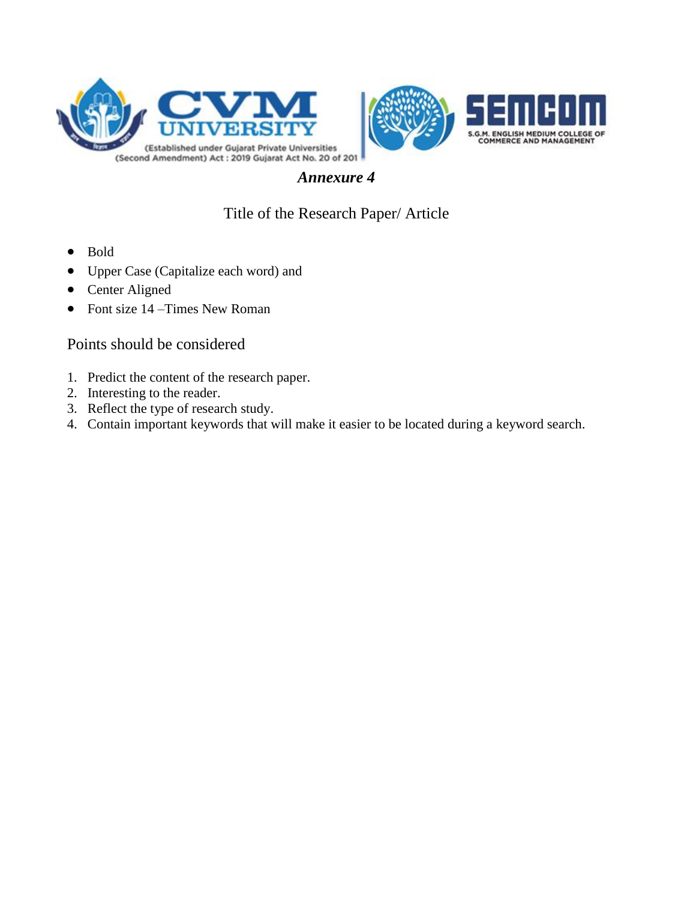

# Title of the Research Paper/ Article

- Bold
- Upper Case (Capitalize each word) and
- Center Aligned
- Font size 14 Times New Roman

## Points should be considered

- 1. Predict the content of the research paper.
- 2. Interesting to the reader.
- 3. Reflect the type of research study.
- 4. Contain important keywords that will make it easier to be located during a keyword search.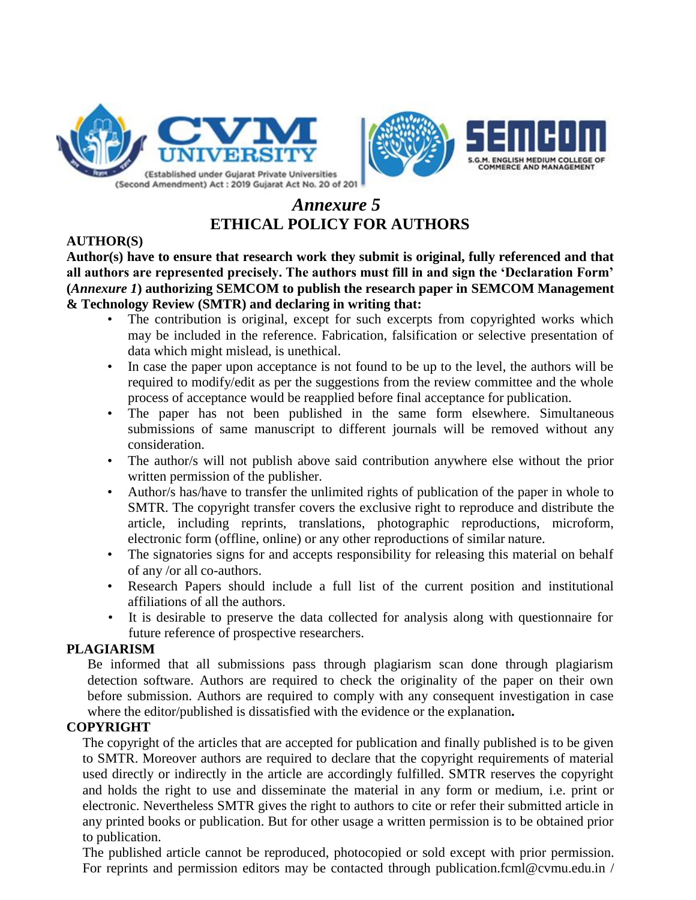



# *Annexure 5* **ETHICAL POLICY FOR AUTHORS**

## **AUTHOR(S)**

**Author(s) have to ensure that research work they submit is original, fully referenced and that all authors are represented precisely. The authors must fill in and sign the 'Declaration Form' (***Annexure 1***) authorizing SEMCOM to publish the research paper in SEMCOM Management & Technology Review (SMTR) and declaring in writing that:**

- The contribution is original, except for such excerpts from copyrighted works which may be included in the reference. Fabrication, falsification or selective presentation of data which might mislead, is unethical.
- In case the paper upon acceptance is not found to be up to the level, the authors will be required to modify/edit as per the suggestions from the review committee and the whole process of acceptance would be reapplied before final acceptance for publication.
- The paper has not been published in the same form elsewhere. Simultaneous submissions of same manuscript to different journals will be removed without any consideration.
- The author/s will not publish above said contribution anywhere else without the prior written permission of the publisher.
- Author/s has/have to transfer the unlimited rights of publication of the paper in whole to SMTR. The copyright transfer covers the exclusive right to reproduce and distribute the article, including reprints, translations, photographic reproductions, microform, electronic form (offline, online) or any other reproductions of similar nature.
- The signatories signs for and accepts responsibility for releasing this material on behalf of any /or all co-authors.
- Research Papers should include a full list of the current position and institutional affiliations of all the authors.
- It is desirable to preserve the data collected for analysis along with questionnaire for future reference of prospective researchers.

## **PLAGIARISM**

Be informed that all submissions pass through plagiarism scan done through plagiarism detection software. Authors are required to check the originality of the paper on their own before submission. Authors are required to comply with any consequent investigation in case where the editor/published is dissatisfied with the evidence or the explanation**.**

## **COPYRIGHT**

The copyright of the articles that are accepted for publication and finally published is to be given to SMTR. Moreover authors are required to declare that the copyright requirements of material used directly or indirectly in the article are accordingly fulfilled. SMTR reserves the copyright and holds the right to use and disseminate the material in any form or medium, i.e. print or electronic. Nevertheless SMTR gives the right to authors to cite or refer their submitted article in any printed books or publication. But for other usage a written permission is to be obtained prior to publication.

The published article cannot be reproduced, photocopied or sold except with prior permission. For reprints and permission editors may be contacted through publication.fcml@cvmu.edu.in /